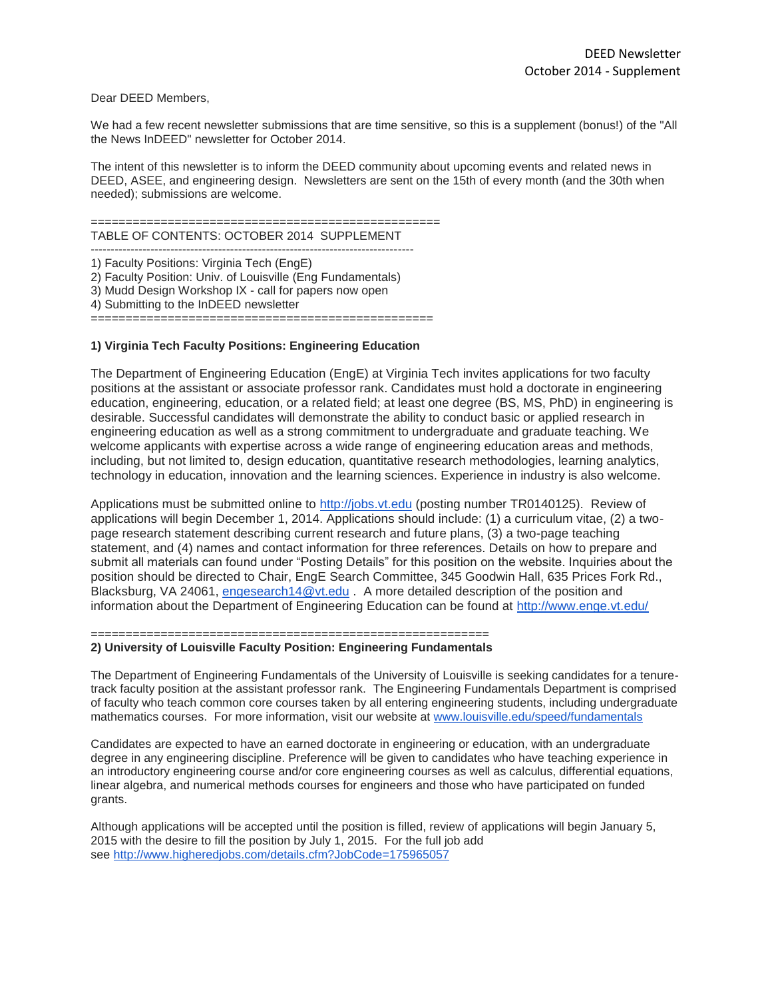# Dear DEED Members,

We had a few recent newsletter submissions that are time sensitive, so this is a supplement (bonus!) of the "All the News InDEED" newsletter for October 2014.

The intent of this newsletter is to inform the DEED community about upcoming events and related news in DEED, ASEE, and engineering design. Newsletters are sent on the 15th of every month (and the 30th when needed); submissions are welcome.

#### ================================================== TABLE OF CONTENTS: OCTOBER 2014 SUPPLEMENT

1) Faculty Positions: Virginia Tech (EngE) 2) Faculty Position: Univ. of Louisville (Eng Fundamentals) 3) Mudd Design Workshop IX - call for papers now open 4) Submitting to the InDEED newsletter =================================================

# **1) Virginia Tech Faculty Positions: Engineering Education**

The Department of Engineering Education (EngE) at Virginia Tech invites applications for two faculty positions at the assistant or associate professor rank. Candidates must hold a doctorate in engineering education, engineering, education, or a related field; at least one degree (BS, MS, PhD) in engineering is desirable. Successful candidates will demonstrate the ability to conduct basic or applied research in engineering education as well as a strong commitment to undergraduate and graduate teaching. We welcome applicants with expertise across a wide range of engineering education areas and methods, including, but not limited to, design education, quantitative research methodologies, learning analytics, technology in education, innovation and the learning sciences. Experience in industry is also welcome.

Applications must be submitted online to [http://jobs.vt.edu](http://jobs.vt.edu/) (posting number TR0140125). Review of applications will begin December 1, 2014. Applications should include: (1) a curriculum vitae, (2) a twopage research statement describing current research and future plans, (3) a two-page teaching statement, and (4) names and contact information for three references. Details on how to prepare and submit all materials can found under "Posting Details" for this position on the website. Inquiries about the position should be directed to Chair, EngE Search Committee, 345 Goodwin Hall, 635 Prices Fork Rd., Blacksburg, VA 24061, [engesearch14@vt.edu](mailto:engesearch14@vt.edu) . A more detailed description of the position and information about the Department of Engineering Education can be found at <http://www.enge.vt.edu/>

=========================================================

## **2) University of Louisville Faculty Position: Engineering Fundamentals**

The Department of Engineering Fundamentals of the University of Louisville is seeking candidates for a tenuretrack faculty position at the assistant professor rank. The Engineering Fundamentals Department is comprised of faculty who teach common core courses taken by all entering engineering students, including undergraduate mathematics courses. For more information, visit our website at [www.louisville.edu/speed/fundamentals](http://www.louisville.edu/speed/fundamentals)

Candidates are expected to have an earned doctorate in engineering or education, with an undergraduate degree in any engineering discipline. Preference will be given to candidates who have teaching experience in an introductory engineering course and/or core engineering courses as well as calculus, differential equations, linear algebra, and numerical methods courses for engineers and those who have participated on funded grants.

Although applications will be accepted until the position is filled, review of applications will begin January 5, 2015 with the desire to fill the position by July 1, 2015. For the full job add see <http://www.higheredjobs.com/details.cfm?JobCode=175965057>